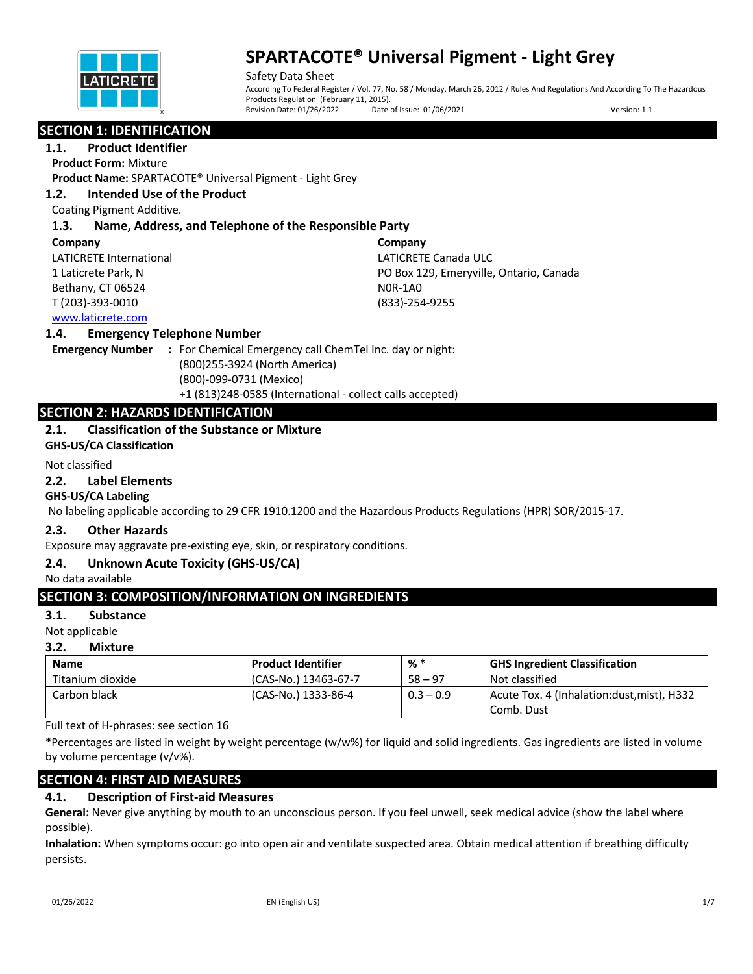

Safety Data Sheet According To Federal Register / Vol. 77, No. 58 / Monday, March 26, 2012 / Rules And Regulations And According To The Hazardous Products Regulation (February 11, 2015).<br>Revision Date: 01/26/2022 Date Date of Issue: 01/06/2021 Version: 1.1

# **SECTION 1: IDENTIFICATION**

**1.1. Product Identifier**

**Product Form:** Mixture

**Product Name:** SPARTACOTE® Universal Pigment - Light Grey

## **1.2. Intended Use of the Product**

Coating Pigment Additive.

## **1.3. Name, Address, and Telephone of the Responsible Party**

#### **Company**

LATICRETE International 1 Laticrete Park, N Bethany, CT 06524 T (203)-393-0010

**Company** LATICRETE Canada ULC PO Box 129, Emeryville, Ontario, Canada N0R-1A0 (833)-254-9255

## www.laticrete.com

## **1.4. Emergency Telephone Number**

**Emergency Number :** For Chemical Emergency call ChemTel Inc. day or night: (800)255-3924 (North America) (800)-099-0731 (Mexico) +1 (813)248-0585 (International - collect calls accepted)

# **SECTION 2: HAZARDS IDENTIFICATION**

# **2.1. Classification of the Substance or Mixture**

**GHS-US/CA Classification**

### Not classified

### **2.2. Label Elements**

## **GHS-US/CA Labeling**

No labeling applicable according to 29 CFR 1910.1200 and the Hazardous Products Regulations (HPR) SOR/2015-17.

## **2.3. Other Hazards**

Exposure may aggravate pre-existing eye, skin, or respiratory conditions.

## **2.4. Unknown Acute Toxicity (GHS-US/CA)**

No data available

# **SECTION 3: COMPOSITION/INFORMATION ON INGREDIENTS**

## **3.1. Substance**

Not applicable

## **3.2. Mixture**

| Name             | <b>Product Identifier</b> | $%$ $*$     | <b>GHS Ingredient Classification</b>       |
|------------------|---------------------------|-------------|--------------------------------------------|
| Titanium dioxide | (CAS-No.) 13463-67-7      | $58 - 97$   | Not classified                             |
| Carbon black     | (CAS-No.) 1333-86-4       | $0.3 - 0.9$ | Acute Tox. 4 (Inhalation:dust, mist), H332 |
|                  |                           |             | Comb. Dust                                 |

Full text of H-phrases: see section 16

\*Percentages are listed in weight by weight percentage (w/w%) for liquid and solid ingredients. Gas ingredients are listed in volume by volume percentage (v/v%).

# **SECTION 4: FIRST AID MEASURES**

# **4.1. Description of First-aid Measures**

**General:** Never give anything by mouth to an unconscious person. If you feel unwell, seek medical advice (show the label where possible).

**Inhalation:** When symptoms occur: go into open air and ventilate suspected area. Obtain medical attention if breathing difficulty persists.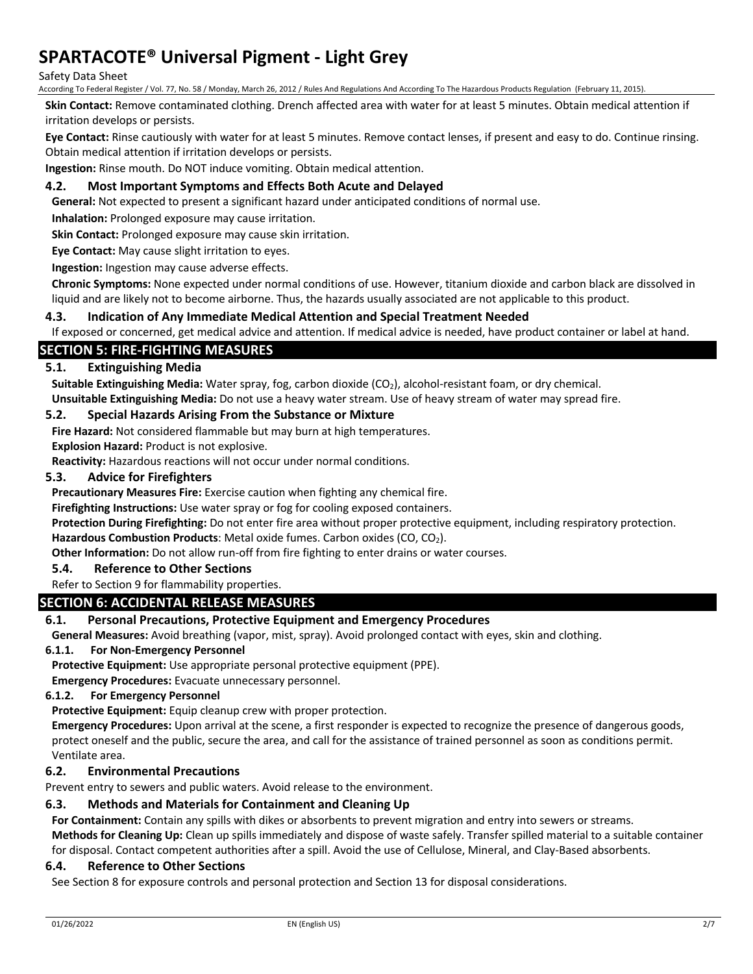### Safety Data Sheet

According To Federal Register / Vol. 77, No. 58 / Monday, March 26, 2012 / Rules And Regulations And According To The Hazardous Products Regulation (February 11, 2015).

**Skin Contact:** Remove contaminated clothing. Drench affected area with water for at least 5 minutes. Obtain medical attention if irritation develops or persists.

**Eye Contact:** Rinse cautiously with water for at least 5 minutes. Remove contact lenses, if present and easy to do. Continue rinsing. Obtain medical attention if irritation develops or persists.

**Ingestion:** Rinse mouth. Do NOT induce vomiting. Obtain medical attention.

## **4.2. Most Important Symptoms and Effects Both Acute and Delayed**

**General:** Not expected to present a significant hazard under anticipated conditions of normal use.

**Inhalation:** Prolonged exposure may cause irritation.

**Skin Contact:** Prolonged exposure may cause skin irritation.

**Eye Contact:** May cause slight irritation to eyes.

**Ingestion:** Ingestion may cause adverse effects.

**Chronic Symptoms:** None expected under normal conditions of use. However, titanium dioxide and carbon black are dissolved in liquid and are likely not to become airborne. Thus, the hazards usually associated are not applicable to this product.

## **4.3. Indication of Any Immediate Medical Attention and Special Treatment Needed**

If exposed or concerned, get medical advice and attention. If medical advice is needed, have product container or label at hand.

## **SECTION 5: FIRE-FIGHTING MEASURES**

## **5.1. Extinguishing Media**

Suitable Extinguishing Media: Water spray, fog, carbon dioxide (CO<sub>2</sub>), alcohol-resistant foam, or dry chemical. **Unsuitable Extinguishing Media:** Do not use a heavy water stream. Use of heavy stream of water may spread fire.

### **5.2. Special Hazards Arising From the Substance or Mixture**

**Fire Hazard:** Not considered flammable but may burn at high temperatures.

**Explosion Hazard:** Product is not explosive.

**Reactivity:** Hazardous reactions will not occur under normal conditions.

#### **5.3. Advice for Firefighters**

**Precautionary Measures Fire:** Exercise caution when fighting any chemical fire.

**Firefighting Instructions:** Use water spray or fog for cooling exposed containers.

**Protection During Firefighting:** Do not enter fire area without proper protective equipment, including respiratory protection.

Hazardous Combustion Products: Metal oxide fumes. Carbon oxides (CO, CO<sub>2</sub>).

**Other Information:** Do not allow run-off from fire fighting to enter drains or water courses.

## **5.4. Reference to Other Sections**

#### Refer to Section 9 for flammability properties.

## **SECTION 6: ACCIDENTAL RELEASE MEASURES**

## **6.1. Personal Precautions, Protective Equipment and Emergency Procedures**

**General Measures:** Avoid breathing (vapor, mist, spray). Avoid prolonged contact with eyes, skin and clothing.

#### **6.1.1. For Non-Emergency Personnel**

**Protective Equipment:** Use appropriate personal protective equipment (PPE).

**Emergency Procedures:** Evacuate unnecessary personnel.

### **6.1.2. For Emergency Personnel**

**Protective Equipment:** Equip cleanup crew with proper protection.

**Emergency Procedures:** Upon arrival at the scene, a first responder is expected to recognize the presence of dangerous goods, protect oneself and the public, secure the area, and call for the assistance of trained personnel as soon as conditions permit. Ventilate area.

## **6.2. Environmental Precautions**

Prevent entry to sewers and public waters. Avoid release to the environment.

## **6.3. Methods and Materials for Containment and Cleaning Up**

**For Containment:** Contain any spills with dikes or absorbents to prevent migration and entry into sewers or streams.

**Methods for Cleaning Up:** Clean up spills immediately and dispose of waste safely. Transfer spilled material to a suitable container for disposal. Contact competent authorities after a spill. Avoid the use of Cellulose, Mineral, and Clay-Based absorbents.

#### **6.4. Reference to Other Sections**

See Section 8 for exposure controls and personal protection and Section 13 for disposal considerations.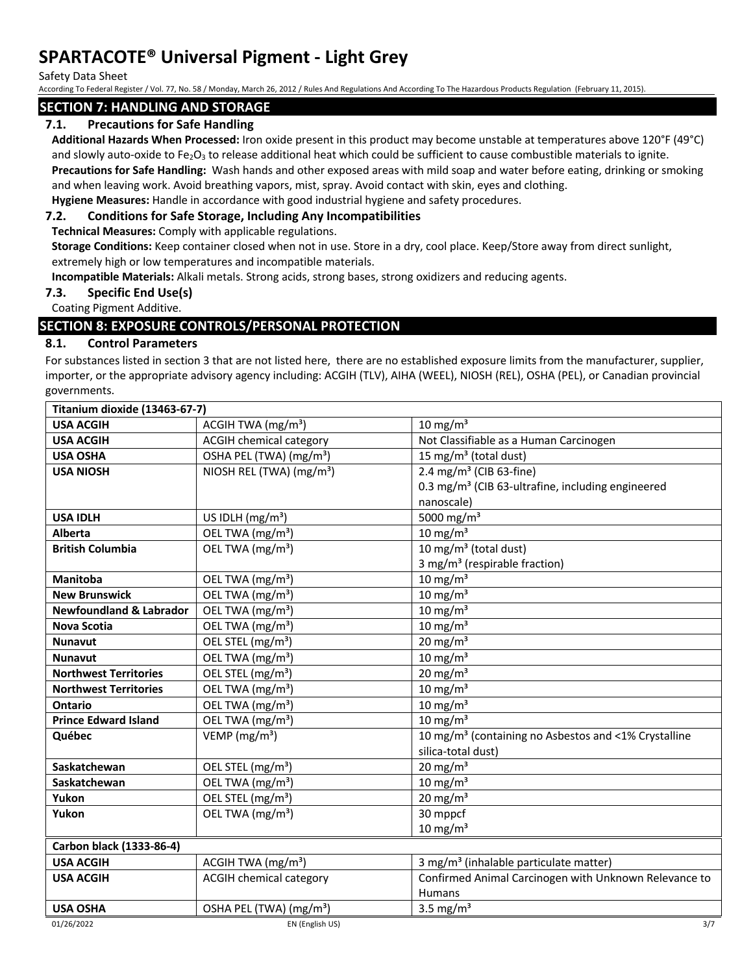Safety Data Sheet

According To Federal Register / Vol. 77, No. 58 / Monday, March 26, 2012 / Rules And Regulations And According To The Hazardous Products Regulation (February 11, 2015).

# **SECTION 7: HANDLING AND STORAGE**

# **7.1. Precautions for Safe Handling**

**Additional Hazards When Processed:** Iron oxide present in this product may become unstable at temperatures above 120°F (49°C) and slowly auto-oxide to Fe<sub>2</sub>O<sub>3</sub> to release additional heat which could be sufficient to cause combustible materials to ignite.

**Precautions for Safe Handling:** Wash hands and other exposed areas with mild soap and water before eating, drinking or smoking and when leaving work. Avoid breathing vapors, mist, spray. Avoid contact with skin, eyes and clothing.

**Hygiene Measures:** Handle in accordance with good industrial hygiene and safety procedures.

## **7.2. Conditions for Safe Storage, Including Any Incompatibilities**

**Technical Measures:** Comply with applicable regulations.

**Storage Conditions:** Keep container closed when not in use. Store in a dry, cool place. Keep/Store away from direct sunlight, extremely high or low temperatures and incompatible materials.

**Incompatible Materials:** Alkali metals. Strong acids, strong bases, strong oxidizers and reducing agents.

## **7.3. Specific End Use(s)**

Coating Pigment Additive.

# **SECTION 8: EXPOSURE CONTROLS/PERSONAL PROTECTION**

# **8.1. Control Parameters**

For substances listed in section 3 that are not listed here, there are no established exposure limits from the manufacturer, supplier, importer, or the appropriate advisory agency including: ACGIH (TLV), AIHA (WEEL), NIOSH (REL), OSHA (PEL), or Canadian provincial governments.

| Titanium dioxide (13463-67-7)      |                                      |                                                                  |  |  |
|------------------------------------|--------------------------------------|------------------------------------------------------------------|--|--|
| <b>USA ACGIH</b>                   | ACGIH TWA $(mg/m3)$                  | 10 mg/m <sup>3</sup>                                             |  |  |
| <b>USA ACGIH</b>                   | <b>ACGIH chemical category</b>       | Not Classifiable as a Human Carcinogen                           |  |  |
| <b>USA OSHA</b>                    | OSHA PEL (TWA) (mg/m <sup>3</sup> )  | 15 mg/m <sup>3</sup> (total dust)                                |  |  |
| <b>USA NIOSH</b>                   | NIOSH REL (TWA) (mg/m <sup>3</sup> ) | 2.4 mg/m <sup>3</sup> (CIB 63-fine)                              |  |  |
|                                    |                                      | 0.3 mg/m <sup>3</sup> (CIB 63-ultrafine, including engineered    |  |  |
|                                    |                                      | nanoscale)                                                       |  |  |
| <b>USA IDLH</b>                    | US IDLH $(mg/m3)$                    | 5000 mg/m <sup>3</sup>                                           |  |  |
| <b>Alberta</b>                     | OEL TWA (mg/m <sup>3</sup> )         | 10 mg/m $3$                                                      |  |  |
| <b>British Columbia</b>            | OEL TWA (mg/m <sup>3</sup> )         | 10 mg/m $3$ (total dust)                                         |  |  |
|                                    |                                      | 3 mg/m <sup>3</sup> (respirable fraction)                        |  |  |
| <b>Manitoba</b>                    | OEL TWA (mg/m <sup>3</sup> )         | $10 \text{ mg/m}^3$                                              |  |  |
| <b>New Brunswick</b>               | OEL TWA (mg/m <sup>3</sup> )         | 10 mg/m $3$                                                      |  |  |
| <b>Newfoundland &amp; Labrador</b> | OEL TWA (mg/m <sup>3</sup> )         | 10 mg/m $3$                                                      |  |  |
| <b>Nova Scotia</b>                 | OEL TWA (mg/m <sup>3</sup> )         | 10 mg/m $3$                                                      |  |  |
| <b>Nunavut</b>                     | OEL STEL (mg/m <sup>3</sup> )        | 20 mg/m $3$                                                      |  |  |
| <b>Nunavut</b>                     | OEL TWA (mg/m <sup>3</sup> )         | $10 \text{ mg/m}^3$                                              |  |  |
| <b>Northwest Territories</b>       | OEL STEL (mg/m <sup>3</sup> )        | 20 mg/m $3$                                                      |  |  |
| <b>Northwest Territories</b>       | OEL TWA (mg/m <sup>3</sup> )         | 10 mg/m $3$                                                      |  |  |
| Ontario                            | OEL TWA (mg/m <sup>3</sup> )         | $10 \text{ mg/m}^3$                                              |  |  |
| <b>Prince Edward Island</b>        | OEL TWA (mg/m <sup>3</sup> )         | 10 mg/m $3$                                                      |  |  |
| Québec                             | VEMP ( $mg/m3$ )                     | 10 mg/m <sup>3</sup> (containing no Asbestos and <1% Crystalline |  |  |
|                                    |                                      | silica-total dust)                                               |  |  |
| Saskatchewan                       | OEL STEL (mg/m <sup>3</sup> )        | 20 mg/m <sup>3</sup>                                             |  |  |
| Saskatchewan                       | OEL TWA (mg/m <sup>3</sup> )         | $10 \text{ mg/m}^3$                                              |  |  |
| Yukon                              | OEL STEL (mg/m <sup>3</sup> )        | 20 mg/m $3$                                                      |  |  |
| Yukon                              | OEL TWA (mg/m <sup>3</sup> )         | 30 mppcf                                                         |  |  |
|                                    |                                      | $10 \text{ mg/m}^3$                                              |  |  |
| Carbon black (1333-86-4)           |                                      |                                                                  |  |  |
| <b>USA ACGIH</b>                   | ACGIH TWA $(mg/m3)$                  | 3 mg/m <sup>3</sup> (inhalable particulate matter)               |  |  |
| <b>USA ACGIH</b>                   | <b>ACGIH chemical category</b>       | Confirmed Animal Carcinogen with Unknown Relevance to            |  |  |
|                                    |                                      | <b>Humans</b>                                                    |  |  |
| <b>USA OSHA</b>                    | OSHA PEL (TWA) (mg/m <sup>3</sup> )  | 3.5 mg/ $m3$                                                     |  |  |
| 01/26/2022                         | EN (English US)                      | 3/7                                                              |  |  |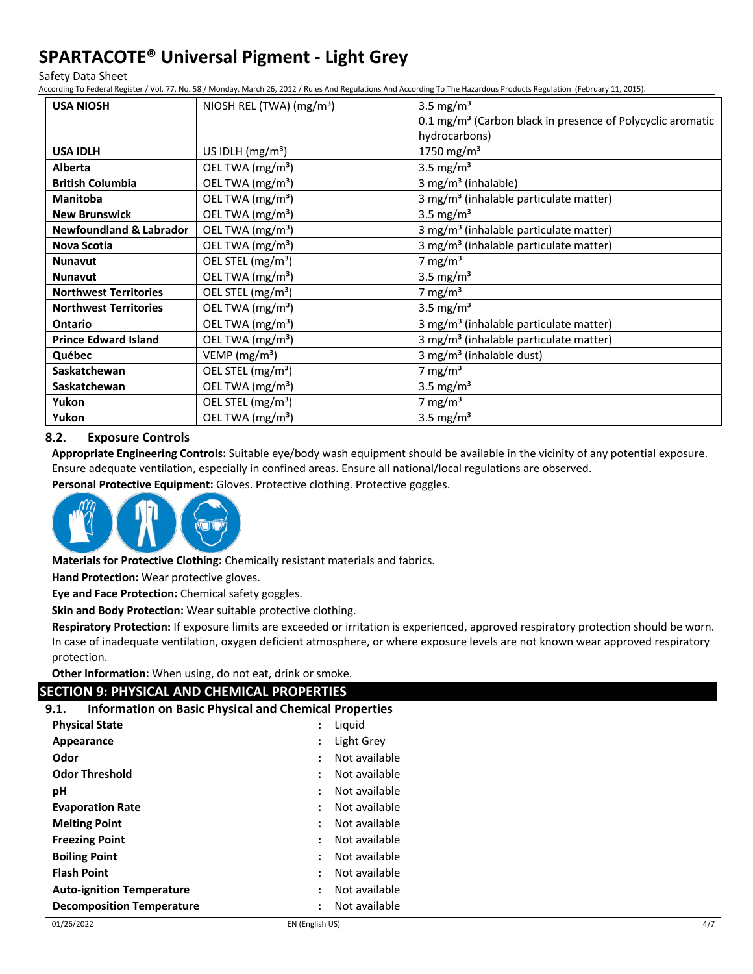Safety Data Sheet

According To Federal Register / Vol. 77, No. 58 / Monday, March 26, 2012 / Rules And Regulations And According To The Hazardous Products Regulation (February 11, 2015).

| <b>USA NIOSH</b>                   | NIOSH REL (TWA) (mg/m <sup>3</sup> ) | 3.5 mg/ $m3$                                                             |
|------------------------------------|--------------------------------------|--------------------------------------------------------------------------|
|                                    |                                      | $0.1$ mg/m <sup>3</sup> (Carbon black in presence of Polycyclic aromatic |
|                                    |                                      | hydrocarbons)                                                            |
| <b>USA IDLH</b>                    | US IDLH $(mg/m3)$                    | 1750 mg/m <sup>3</sup>                                                   |
| <b>Alberta</b>                     | OEL TWA (mg/m <sup>3</sup> )         | 3.5 mg/ $m3$                                                             |
| <b>British Columbia</b>            | OEL TWA (mg/m <sup>3</sup> )         | 3 mg/m <sup>3</sup> (inhalable)                                          |
| <b>Manitoba</b>                    | OEL TWA (mg/m <sup>3</sup> )         | 3 mg/m <sup>3</sup> (inhalable particulate matter)                       |
| <b>New Brunswick</b>               | OEL TWA (mg/m <sup>3</sup> )         | 3.5 mg/m <sup>3</sup>                                                    |
| <b>Newfoundland &amp; Labrador</b> | OEL TWA (mg/m <sup>3</sup> )         | 3 mg/m <sup>3</sup> (inhalable particulate matter)                       |
| Nova Scotia                        | OEL TWA (mg/m <sup>3</sup> )         | 3 mg/m <sup>3</sup> (inhalable particulate matter)                       |
| <b>Nunavut</b>                     | OEL STEL (mg/m <sup>3</sup> )        | 7 mg/m $3$                                                               |
| <b>Nunavut</b>                     | OEL TWA (mg/m <sup>3</sup> )         | 3.5 mg/m <sup>3</sup>                                                    |
| <b>Northwest Territories</b>       | OEL STEL (mg/m <sup>3</sup> )        | 7 mg/m $3$                                                               |
| <b>Northwest Territories</b>       | OEL TWA (mg/m <sup>3</sup> )         | 3.5 mg/m <sup>3</sup>                                                    |
| Ontario                            | OEL TWA (mg/m <sup>3</sup> )         | 3 mg/m <sup>3</sup> (inhalable particulate matter)                       |
| <b>Prince Edward Island</b>        | OEL TWA (mg/m <sup>3</sup> )         | 3 mg/m <sup>3</sup> (inhalable particulate matter)                       |
| Québec                             | VEMP ( $mg/m3$ )                     | 3 mg/m <sup>3</sup> (inhalable dust)                                     |
| <b>Saskatchewan</b>                | OEL STEL (mg/m <sup>3</sup> )        | 7 mg/m $3$                                                               |
| Saskatchewan                       | OEL TWA (mg/m <sup>3</sup> )         | 3.5 mg/ $m3$                                                             |
| Yukon                              | OEL STEL (mg/m <sup>3</sup> )        | 7 mg/m $3$                                                               |
| Yukon                              | OEL TWA (mg/m <sup>3</sup> )         | 3.5 mg/ $m3$                                                             |

### **8.2. Exposure Controls**

**Appropriate Engineering Controls:** Suitable eye/body wash equipment should be available in the vicinity of any potential exposure. Ensure adequate ventilation, especially in confined areas. Ensure all national/local regulations are observed.

**Personal Protective Equipment:** Gloves. Protective clothing. Protective goggles.



**Materials for Protective Clothing:** Chemically resistant materials and fabrics.

**Hand Protection:** Wear protective gloves.

**Eye and Face Protection:** Chemical safety goggles.

**Skin and Body Protection:** Wear suitable protective clothing.

**Respiratory Protection:** If exposure limits are exceeded or irritation is experienced, approved respiratory protection should be worn. In case of inadequate ventilation, oxygen deficient atmosphere, or where exposure levels are not known wear approved respiratory protection.

**Other Information:** When using, do not eat, drink or smoke.

## **SECTION 9: PHYSICAL AND CHEMICAL PROPERTIES**

**9.1. Information on Basic Physical and Chemical Properties**

| <b>Physical State</b>            | $\ddot{\phantom{a}}$ | Liquid        |
|----------------------------------|----------------------|---------------|
| Appearance                       | $\ddot{\cdot}$       | Light Grey    |
| Odor                             | $\ddot{\phantom{a}}$ | Not available |
| <b>Odor Threshold</b>            |                      | Not available |
| рH                               |                      | Not available |
| <b>Evaporation Rate</b>          | $\ddot{\phantom{a}}$ | Not available |
| <b>Melting Point</b>             | $\ddot{\cdot}$       | Not available |
| <b>Freezing Point</b>            | $\ddot{\phantom{a}}$ | Not available |
| <b>Boiling Point</b>             | $\ddot{\cdot}$       | Not available |
| <b>Flash Point</b>               | $\ddot{\cdot}$       | Not available |
| <b>Auto-ignition Temperature</b> |                      | Not available |
| <b>Decomposition Temperature</b> | $\ddot{\phantom{a}}$ | Not available |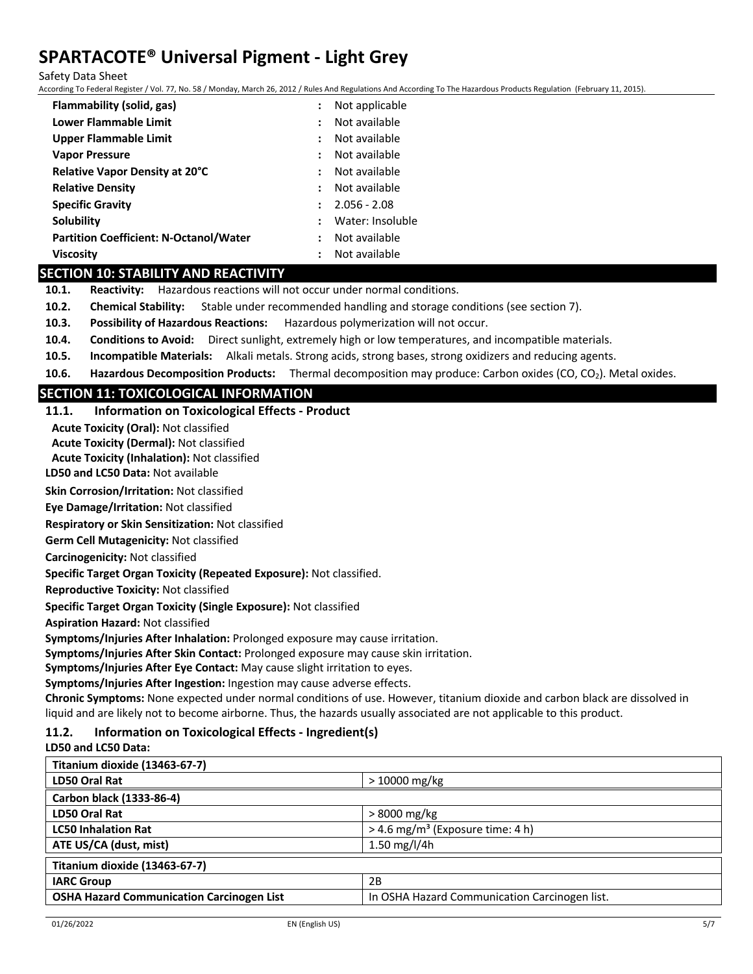Safety Data Sheet

According To Federal Register / Vol. 77, No. 58 / Monday, March 26, 2012 / Rules And Regulations And According To The Hazardous Products Regulation (February 11, 2015).

| Flammability (solid, gas)                     | $\ddot{\cdot}$       | Not applicable   |
|-----------------------------------------------|----------------------|------------------|
| Lower Flammable Limit                         | $\ddot{\phantom{a}}$ | Not available    |
| <b>Upper Flammable Limit</b>                  |                      | Not available    |
| <b>Vapor Pressure</b>                         | :                    | Not available    |
| Relative Vapor Density at 20°C                | $\ddot{\cdot}$       | Not available    |
| <b>Relative Density</b>                       | $\ddot{\phantom{a}}$ | Not available    |
| <b>Specific Gravity</b>                       |                      | $2.056 - 2.08$   |
| Solubility                                    | $\ddot{\phantom{a}}$ | Water: Insoluble |
| <b>Partition Coefficient: N-Octanol/Water</b> | :                    | Not available    |
| <b>Viscosity</b>                              | :                    | Not available    |

## **SECTION 10: STABILITY AND REACTIVITY**

**10.1. Reactivity:** Hazardous reactions will not occur under normal conditions.

- **10.2. Chemical Stability:** Stable under recommended handling and storage conditions (see section 7).
- **10.3. Possibility of Hazardous Reactions:** Hazardous polymerization will not occur.
- **10.4. Conditions to Avoid:** Direct sunlight, extremely high or low temperatures, and incompatible materials.
- **10.5. Incompatible Materials:** Alkali metals. Strong acids, strong bases, strong oxidizers and reducing agents.
- **10.6. Hazardous Decomposition Products:** Thermal decomposition may produce: Carbon oxides (CO, CO<sub>2</sub>). Metal oxides.

# **SECTION 11: TOXICOLOGICAL INFORMATION**

# **11.1. Information on Toxicological Effects - Product**

**Acute Toxicity (Oral):** Not classified

**Acute Toxicity (Dermal):** Not classified

**Acute Toxicity (Inhalation):** Not classified

**LD50 and LC50 Data:** Not available

**Skin Corrosion/Irritation:** Not classified

**Eye Damage/Irritation:** Not classified

**Respiratory or Skin Sensitization:** Not classified

**Germ Cell Mutagenicity:** Not classified

### **Carcinogenicity:** Not classified

**Specific Target Organ Toxicity (Repeated Exposure):** Not classified.

**Reproductive Toxicity:** Not classified

**Specific Target Organ Toxicity (Single Exposure):** Not classified

**Aspiration Hazard:** Not classified

**Symptoms/Injuries After Inhalation:** Prolonged exposure may cause irritation.

**Symptoms/Injuries After Skin Contact:** Prolonged exposure may cause skin irritation.

**Symptoms/Injuries After Eye Contact:** May cause slight irritation to eyes.

**Symptoms/Injuries After Ingestion:** Ingestion may cause adverse effects.

**Chronic Symptoms:** None expected under normal conditions of use. However, titanium dioxide and carbon black are dissolved in liquid and are likely not to become airborne. Thus, the hazards usually associated are not applicable to this product.

## **11.2. Information on Toxicological Effects - Ingredient(s)**

**LD50 and LC50 Data:**

| <b>LD50 Oral Rat</b><br>$>10000$ mg/kg<br>Carbon black (1333-86-4)                                |
|---------------------------------------------------------------------------------------------------|
|                                                                                                   |
|                                                                                                   |
| LD50 Oral Rat<br>> 8000 mg/kg                                                                     |
| $>$ 4.6 mg/m <sup>3</sup> (Exposure time: 4 h)<br><b>LC50 Inhalation Rat</b>                      |
| ATE US/CA (dust, mist)<br>1.50 mg/l/4h                                                            |
| Titanium dioxide (13463-67-7)                                                                     |
| 2B<br><b>IARC Group</b>                                                                           |
| <b>OSHA Hazard Communication Carcinogen List</b><br>In OSHA Hazard Communication Carcinogen list. |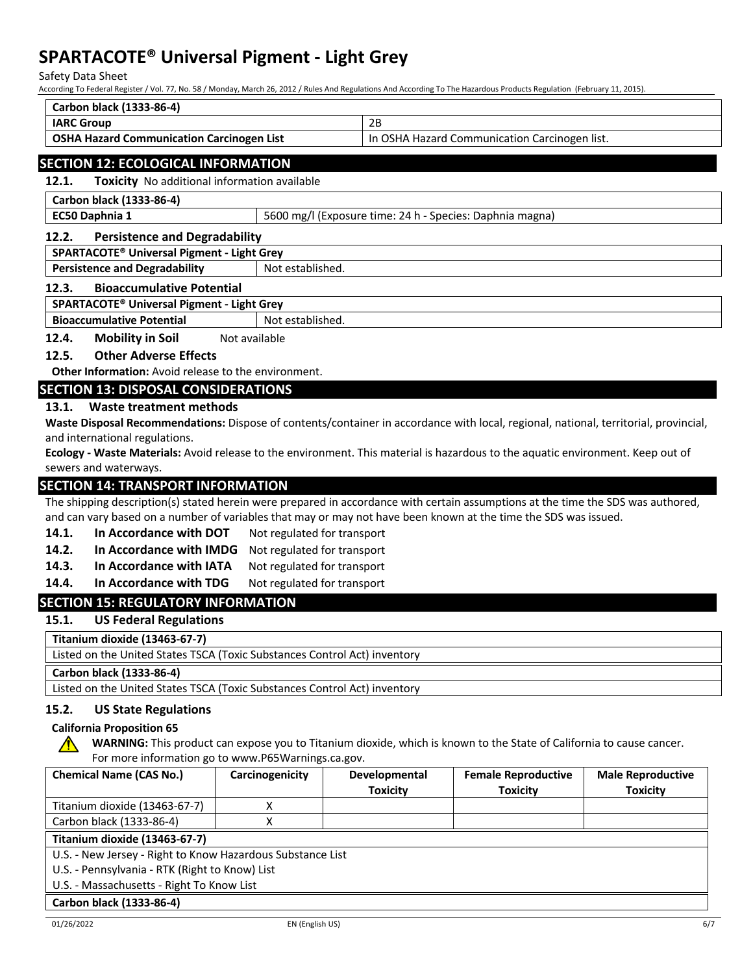Safety Data Sheet

According To Federal Register / Vol. 77, No. 58 / Monday, March 26, 2012 / Rules And Regulations And According To The Hazardous Products Regulation (February 11, 2015).

| Carbon black (1333-86-4)                  |                                               |
|-------------------------------------------|-----------------------------------------------|
| <b>IARC Group</b>                         | 2B                                            |
| OSHA Hazard Communication Carcinogen List | In OSHA Hazard Communication Carcinogen list. |
|                                           |                                               |

## **SECTION 12: ECOLOGICAL INFORMATION**

**12.1. Toxicity** No additional information available

**Carbon black (1333-86-4)**

**EC50 Daphnia 1 1 5600 mg/l (Exposure time: 24 h - Species: Daphnia magna)** 

### **12.2. Persistence and Degradability**

#### **SPARTACOTE® Universal Pigment - Light Grey**

**Persistence and Degradability** Not established.

#### **12.3. Bioaccumulative Potential**

## **SPARTACOTE® Universal Pigment - Light Grey**

**Bioaccumulative Potential** Not established.

12.4. Mobility in Soil Not available

## **12.5. Other Adverse Effects**

**Other Information:** Avoid release to the environment.

## **SECTION 13: DISPOSAL CONSIDERATIONS**

## **13.1. Waste treatment methods**

**Waste Disposal Recommendations:** Dispose of contents/container in accordance with local, regional, national, territorial, provincial, and international regulations.

**Ecology - Waste Materials:** Avoid release to the environment. This material is hazardous to the aquatic environment. Keep out of sewers and waterways.

## **SECTION 14: TRANSPORT INFORMATION**

The shipping description(s) stated herein were prepared in accordance with certain assumptions at the time the SDS was authored, and can vary based on a number of variables that may or may not have been known at the time the SDS was issued.

- **14.1. In Accordance with DOT** Not regulated for transport
- **14.2. In Accordance with IMDG** Not regulated for transport
- 14.3. In Accordance with IATA Not regulated for transport
- 14.4. In Accordance with TDG Not regulated for transport

# **SECTION 15: REGULATORY INFORMATION**

#### **15.1. US Federal Regulations**

**Titanium dioxide (13463-67-7)**

Listed on the United States TSCA (Toxic Substances Control Act) inventory

**Carbon black (1333-86-4)**

Listed on the United States TSCA (Toxic Substances Control Act) inventory

## **15.2. US State Regulations**

## **California Proposition 65**

**WARNING:** This product can expose you to Titanium dioxide, which is known to the State of California to cause cancer.  $\sqrt{N}$ For more information go to www.P65Warnings.ca.gov.

| <b>Chemical Name (CAS No.)</b>                             | Carcinogenicity | <b>Developmental</b> | <b>Female Reproductive</b> | <b>Male Reproductive</b> |
|------------------------------------------------------------|-----------------|----------------------|----------------------------|--------------------------|
|                                                            |                 | <b>Toxicity</b>      | <b>Toxicity</b>            | <b>Toxicity</b>          |
| Titanium dioxide (13463-67-7)                              |                 |                      |                            |                          |
| Carbon black (1333-86-4)                                   |                 |                      |                            |                          |
| Titanium dioxide (13463-67-7)                              |                 |                      |                            |                          |
| U.S. - New Jersey - Right to Know Hazardous Substance List |                 |                      |                            |                          |
| U.S. - Pennsylvania - RTK (Right to Know) List             |                 |                      |                            |                          |
| U.S. - Massachusetts - Right To Know List                  |                 |                      |                            |                          |
| Carbon black (1333-86-4)                                   |                 |                      |                            |                          |